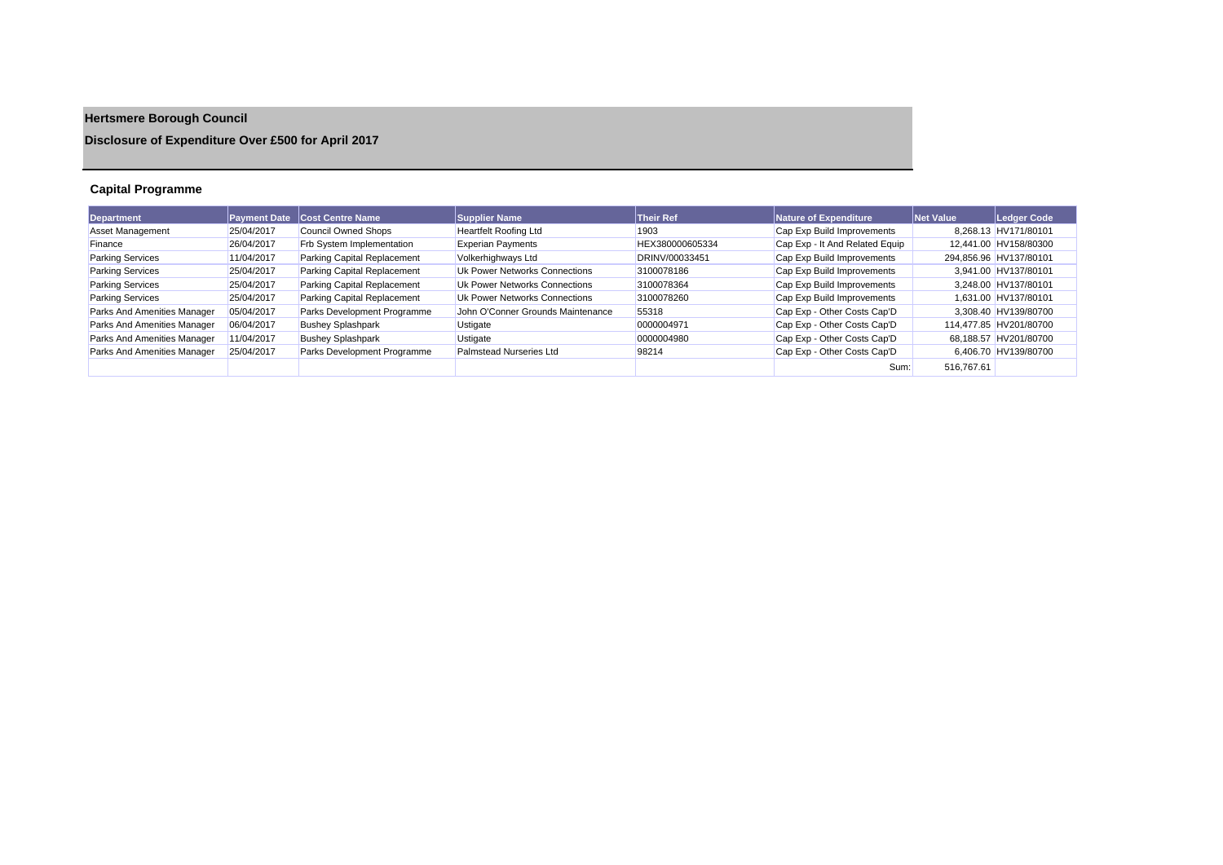# **Hertsmere Borough Council**

# **Disclosure of Expenditure Over £500 for April 2017**

# **Capital Programme**

| <b>Department</b>           | <b>Payment Date</b> | Cost Centre Name            | Supplier Name                     | <b>Their Ref</b> | Nature of Expenditure          | <b>Net Value</b> | Ledger Code            |
|-----------------------------|---------------------|-----------------------------|-----------------------------------|------------------|--------------------------------|------------------|------------------------|
| Asset Management            | 25/04/2017          | Council Owned Shops         | <b>Heartfelt Roofing Ltd</b>      | 1903             | Cap Exp Build Improvements     |                  | 8.268.13 HV171/80101   |
| Finance                     | 26/04/2017          | Frb System Implementation   | <b>Experian Payments</b>          | HEX380000605334  | Cap Exp - It And Related Equip |                  | 12,441.00 HV158/80300  |
| <b>Parking Services</b>     | 11/04/2017          | Parking Capital Replacement | Volkerhighways Ltd                | DRINV/00033451   | Cap Exp Build Improvements     |                  | 294,856.96 HV137/80101 |
| <b>Parking Services</b>     | 25/04/2017          | Parking Capital Replacement | Uk Power Networks Connections     | 3100078186       | Cap Exp Build Improvements     |                  | 3.941.00 HV137/80101   |
| <b>Parking Services</b>     | 25/04/2017          | Parking Capital Replacement | Uk Power Networks Connections     | 3100078364       | Cap Exp Build Improvements     |                  | 3.248.00 HV137/80101   |
| <b>Parking Services</b>     | 25/04/2017          | Parking Capital Replacement | Uk Power Networks Connections     | 3100078260       | Cap Exp Build Improvements     |                  | 1.631.00 HV137/80101   |
| Parks And Amenities Manager | 05/04/2017          | Parks Development Programme | John O'Conner Grounds Maintenance | 55318            | Cap Exp - Other Costs Cap'D    |                  | 3.308.40 HV139/80700   |
| Parks And Amenities Manager | 06/04/2017          | <b>Bushey Splashpark</b>    | Ustigate                          | 0000004971       | Cap Exp - Other Costs Cap'D    |                  | 114.477.85 HV201/80700 |
| Parks And Amenities Manager | 11/04/2017          | <b>Bushey Splashpark</b>    | Ustigate                          | 0000004980       | Cap Exp - Other Costs Cap'D    |                  | 68.188.57 HV201/80700  |
| Parks And Amenities Manager | 25/04/2017          | Parks Development Programme | Palmstead Nurseries Ltd           | 98214            | Cap Exp - Other Costs Cap'D    |                  | 6,406.70 HV139/80700   |
|                             |                     |                             |                                   |                  | Sum:                           | 516.767.61       |                        |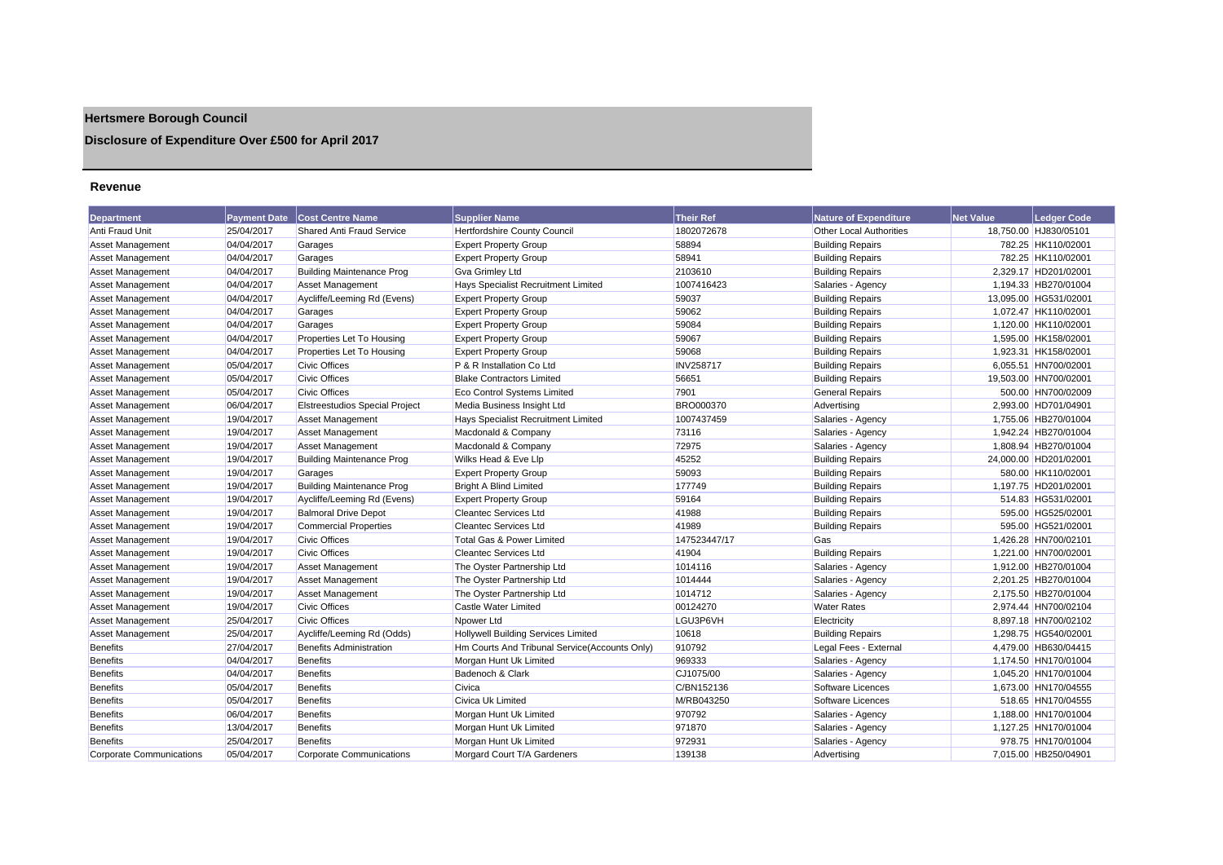# **Hertsmere Borough Council**

# **Disclosure of Expenditure Over £500 for April 2017**

### **Revenue**

| <b>Department</b>               | <b>Payment Date</b> | <b>Cost Centre Name</b>               | <b>Supplier Name</b>                          | <b>Their Ref</b> | <b>Nature of Expenditure</b>   | <b>Net Value</b> | <b>Ledger Code</b>    |
|---------------------------------|---------------------|---------------------------------------|-----------------------------------------------|------------------|--------------------------------|------------------|-----------------------|
| Anti Fraud Unit                 | 25/04/2017          | <b>Shared Anti Fraud Service</b>      | <b>Hertfordshire County Council</b>           | 1802072678       | <b>Other Local Authorities</b> |                  | 18,750.00 HJ830/05101 |
| <b>Asset Management</b>         | 04/04/2017          | Garages                               | <b>Expert Property Group</b>                  | 58894            | <b>Building Repairs</b>        |                  | 782.25 HK110/02001    |
| <b>Asset Management</b>         | 04/04/2017          | Garages                               | <b>Expert Property Group</b>                  | 58941            | <b>Building Repairs</b>        |                  | 782.25 HK110/02001    |
| Asset Management                | 04/04/2017          | <b>Building Maintenance Prog</b>      | <b>Gva Grimley Ltd</b>                        | 2103610          | <b>Building Repairs</b>        |                  | 2,329.17 HD201/02001  |
| <b>Asset Management</b>         | 04/04/2017          | <b>Asset Management</b>               | Hays Specialist Recruitment Limited           | 1007416423       | Salaries - Agency              |                  | 1,194.33 HB270/01004  |
| Asset Management                | 04/04/2017          | Aycliffe/Leeming Rd (Evens)           | <b>Expert Property Group</b>                  | 59037            | <b>Building Repairs</b>        |                  | 13,095.00 HG531/02001 |
| <b>Asset Management</b>         | 04/04/2017          | Garages                               | <b>Expert Property Group</b>                  | 59062            | <b>Building Repairs</b>        |                  | 1,072.47 HK110/02001  |
| Asset Management                | 04/04/2017          | Garages                               | <b>Expert Property Group</b>                  | 59084            | <b>Building Repairs</b>        |                  | 1,120.00 HK110/02001  |
| <b>Asset Management</b>         | 04/04/2017          | Properties Let To Housing             | <b>Expert Property Group</b>                  | 59067            | <b>Building Repairs</b>        |                  | 1,595.00 HK158/02001  |
| <b>Asset Management</b>         | 04/04/2017          | Properties Let To Housing             | <b>Expert Property Group</b>                  | 59068            | <b>Building Repairs</b>        |                  | 1,923.31 HK158/02001  |
| Asset Management                | 05/04/2017          | <b>Civic Offices</b>                  | P & R Installation Co Ltd                     | <b>INV258717</b> | <b>Building Repairs</b>        |                  | 6,055.51 HN700/02001  |
| <b>Asset Management</b>         | 05/04/2017          | <b>Civic Offices</b>                  | <b>Blake Contractors Limited</b>              | 56651            | <b>Building Repairs</b>        |                  | 19,503.00 HN700/02001 |
| <b>Asset Management</b>         | 05/04/2017          | <b>Civic Offices</b>                  | Eco Control Systems Limited                   | 7901             | <b>General Repairs</b>         |                  | 500.00 HN700/02009    |
| <b>Asset Management</b>         | 06/04/2017          | <b>Elstreestudios Special Project</b> | Media Business Insight Ltd                    | BRO000370        | Advertising                    |                  | 2,993.00 HD701/04901  |
| <b>Asset Management</b>         | 19/04/2017          | <b>Asset Management</b>               | Hays Specialist Recruitment Limited           | 1007437459       | Salaries - Agency              |                  | 1,755.06 HB270/01004  |
| <b>Asset Management</b>         | 19/04/2017          | <b>Asset Management</b>               | Macdonald & Company                           | 73116            | Salaries - Agency              |                  | 1.942.24 HB270/01004  |
| <b>Asset Management</b>         | 19/04/2017          | <b>Asset Management</b>               | Macdonald & Company                           | 72975            | Salaries - Agency              |                  | 1,808.94 HB270/01004  |
| <b>Asset Management</b>         | 19/04/2017          | <b>Building Maintenance Prog</b>      | Wilks Head & Eve Llp                          | 45252            | <b>Building Repairs</b>        |                  | 24,000.00 HD201/02001 |
| <b>Asset Management</b>         | 19/04/2017          | Garages                               | <b>Expert Property Group</b>                  | 59093            | <b>Building Repairs</b>        |                  | 580.00 HK110/02001    |
| <b>Asset Management</b>         | 19/04/2017          | <b>Building Maintenance Prog</b>      | <b>Bright A Blind Limited</b>                 | 177749           | <b>Building Repairs</b>        |                  | 1,197.75 HD201/02001  |
| Asset Management                | 19/04/2017          | Aycliffe/Leeming Rd (Evens)           | <b>Expert Property Group</b>                  | 59164            | <b>Building Repairs</b>        |                  | 514.83 HG531/02001    |
| <b>Asset Management</b>         | 19/04/2017          | <b>Balmoral Drive Depot</b>           | <b>Cleantec Services Ltd</b>                  | 41988            | <b>Building Repairs</b>        |                  | 595.00 HG525/02001    |
| <b>Asset Management</b>         | 19/04/2017          | <b>Commercial Properties</b>          | <b>Cleantec Services Ltd</b>                  | 41989            | <b>Building Repairs</b>        |                  | 595.00 HG521/02001    |
| Asset Management                | 19/04/2017          | <b>Civic Offices</b>                  | <b>Total Gas &amp; Power Limited</b>          | 147523447/17     | Gas                            |                  | 1,426.28 HN700/02101  |
| <b>Asset Management</b>         | 19/04/2017          | <b>Civic Offices</b>                  | <b>Cleantec Services Ltd</b>                  | 41904            | <b>Building Repairs</b>        |                  | 1,221.00 HN700/02001  |
| <b>Asset Management</b>         | 19/04/2017          | <b>Asset Management</b>               | The Oyster Partnership Ltd                    | 1014116          | Salaries - Agency              |                  | 1,912.00 HB270/01004  |
| <b>Asset Management</b>         | 19/04/2017          | <b>Asset Management</b>               | The Oyster Partnership Ltd                    | 1014444          | Salaries - Agency              |                  | 2,201.25 HB270/01004  |
| <b>Asset Management</b>         | 19/04/2017          | Asset Management                      | The Oyster Partnership Ltd                    | 1014712          | Salaries - Agency              |                  | 2.175.50 HB270/01004  |
| Asset Management                | 19/04/2017          | <b>Civic Offices</b>                  | Castle Water Limited                          | 00124270         | <b>Water Rates</b>             |                  | 2.974.44 HN700/02104  |
| <b>Asset Management</b>         | 25/04/2017          | <b>Civic Offices</b>                  | Npower Ltd                                    | LGU3P6VH         | Electricity                    |                  | 8,897.18 HN700/02102  |
| Asset Management                | 25/04/2017          | Aycliffe/Leeming Rd (Odds)            | <b>Hollywell Building Services Limited</b>    | 10618            | <b>Building Repairs</b>        |                  | 1,298.75 HG540/02001  |
| <b>Benefits</b>                 | 27/04/2017          | <b>Benefits Administration</b>        | Hm Courts And Tribunal Service(Accounts Only) | 910792           | Legal Fees - External          |                  | 4,479.00 HB630/04415  |
| <b>Benefits</b>                 | 04/04/2017          | <b>Benefits</b>                       | Morgan Hunt Uk Limited                        | 969333           | Salaries - Agency              |                  | 1,174.50 HN170/01004  |
| <b>Benefits</b>                 | 04/04/2017          | <b>Benefits</b>                       | Badenoch & Clark                              | CJ1075/00        | Salaries - Agency              |                  | 1,045.20 HN170/01004  |
| <b>Benefits</b>                 | 05/04/2017          | <b>Benefits</b>                       | Civica                                        | C/BN152136       | Software Licences              |                  | 1,673.00 HN170/04555  |
| <b>Benefits</b>                 | 05/04/2017          | <b>Benefits</b>                       | Civica Uk Limited                             | M/RB043250       | Software Licences              |                  | 518.65 HN170/04555    |
| <b>Benefits</b>                 | 06/04/2017          | <b>Benefits</b>                       | Morgan Hunt Uk Limited                        | 970792           | Salaries - Agency              |                  | 1,188.00 HN170/01004  |
| <b>Benefits</b>                 | 13/04/2017          | <b>Benefits</b>                       | Morgan Hunt Uk Limited                        | 971870           | Salaries - Agency              |                  | 1,127.25 HN170/01004  |
| <b>Benefits</b>                 | 25/04/2017          | <b>Benefits</b>                       | Morgan Hunt Uk Limited                        | 972931           | Salaries - Agency              |                  | 978.75 HN170/01004    |
| <b>Corporate Communications</b> | 05/04/2017          | Corporate Communications              | Morgard Court T/A Gardeners                   | 139138           | Advertising                    |                  | 7,015.00 HB250/04901  |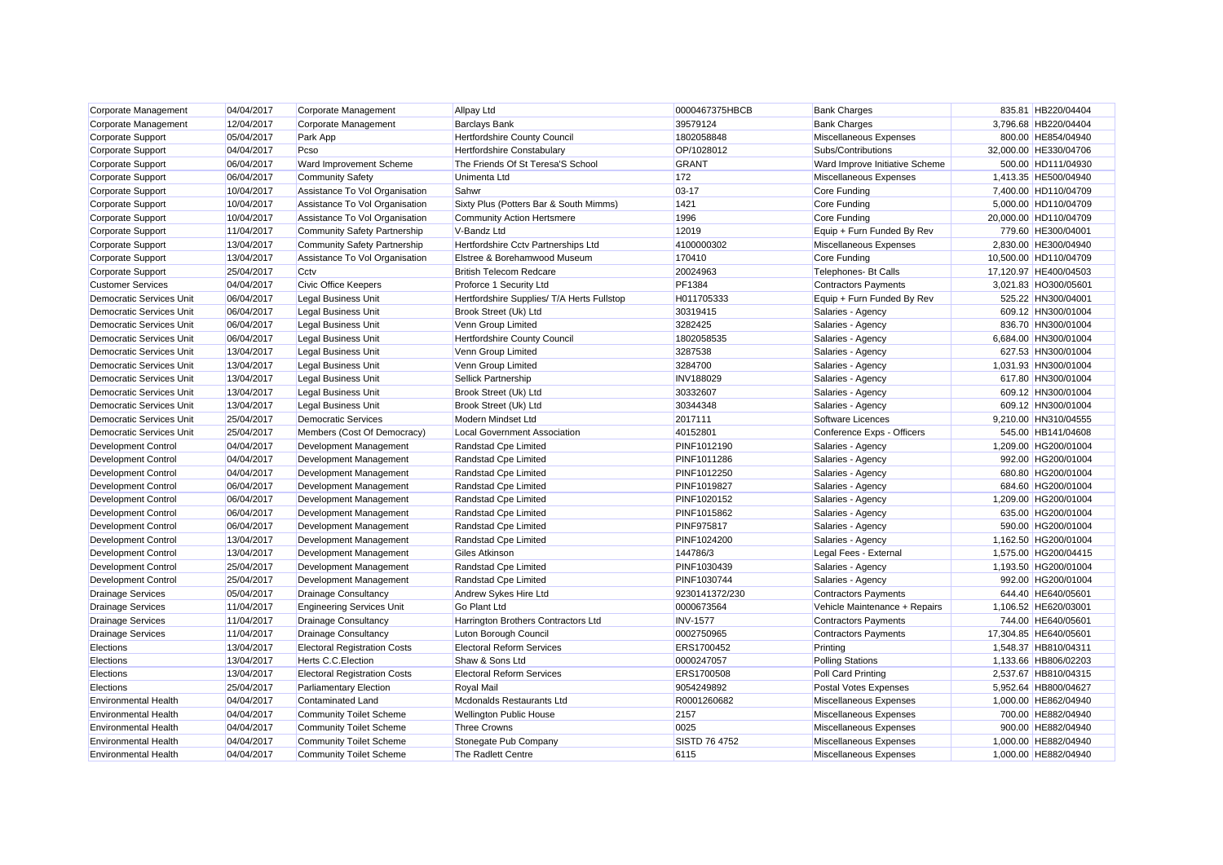| Corporate Management            | 04/04/2017 | Corporate Management                | <b>Allpay Ltd</b>                          | 0000467375HBCB       | <b>Bank Charges</b>            | 835.81 HB220/04404    |
|---------------------------------|------------|-------------------------------------|--------------------------------------------|----------------------|--------------------------------|-----------------------|
| Corporate Management            | 12/04/2017 | Corporate Management                | <b>Barclays Bank</b>                       | 39579124             | <b>Bank Charges</b>            | 3,796.68 HB220/04404  |
| <b>Corporate Support</b>        | 05/04/2017 | Park App                            | Hertfordshire County Council               | 1802058848           | Miscellaneous Expenses         | 800.00 HE854/04940    |
| Corporate Support               | 04/04/2017 | Pcso                                | Hertfordshire Constabulary                 | OP/1028012           | Subs/Contributions             | 32,000.00 HE330/04706 |
| <b>Corporate Support</b>        | 06/04/2017 | Ward Improvement Scheme             | The Friends Of St Teresa'S School          | GRANT                | Ward Improve Initiative Scheme | 500.00 HD111/04930    |
| Corporate Support               | 06/04/2017 | <b>Community Safety</b>             | Unimenta Ltd                               | 172                  | Miscellaneous Expenses         | 1,413.35 HE500/04940  |
| <b>Corporate Support</b>        | 10/04/2017 | Assistance To Vol Organisation      | Sahwr                                      | $03 - 17$            | Core Funding                   | 7,400.00 HD110/04709  |
| Corporate Support               | 10/04/2017 | Assistance To Vol Organisation      | Sixty Plus (Potters Bar & South Mimms)     | 1421                 | Core Funding                   | 5,000.00 HD110/04709  |
| <b>Corporate Support</b>        | 10/04/2017 | Assistance To Vol Organisation      | <b>Community Action Hertsmere</b>          | 1996                 | Core Funding                   | 20,000.00 HD110/04709 |
| Corporate Support               | 11/04/2017 | <b>Community Safety Partnership</b> | V-Bandz Ltd                                | 12019                | Equip + Furn Funded By Rev     | 779.60 HE300/04001    |
| <b>Corporate Support</b>        | 13/04/2017 | <b>Community Safety Partnership</b> | Hertfordshire Cctv Partnerships Ltd        | 4100000302           | Miscellaneous Expenses         | 2,830.00 HE300/04940  |
| Corporate Support               | 13/04/2017 | Assistance To Vol Organisation      | Elstree & Borehamwood Museum               | 170410               | Core Funding                   | 10,500.00 HD110/04709 |
| <b>Corporate Support</b>        | 25/04/2017 | Cctv                                | <b>British Telecom Redcare</b>             | 20024963             | Telephones- Bt Calls           | 17,120.97 HE400/04503 |
| <b>Customer Services</b>        | 04/04/2017 | <b>Civic Office Keepers</b>         | Proforce 1 Security Ltd                    | PF1384               | <b>Contractors Payments</b>    | 3,021.83 HO300/05601  |
| <b>Democratic Services Unit</b> | 06/04/2017 | <b>Legal Business Unit</b>          | Hertfordshire Supplies/ T/A Herts Fullstop | H011705333           | Equip + Furn Funded By Rev     | 525.22 HN300/04001    |
| Democratic Services Unit        | 06/04/2017 | <b>Legal Business Unit</b>          | Brook Street (Uk) Ltd                      | 30319415             | Salaries - Agency              | 609.12 HN300/01004    |
| Democratic Services Unit        | 06/04/2017 | <b>Legal Business Unit</b>          | Venn Group Limited                         | 3282425              | Salaries - Agency              | 836.70 HN300/01004    |
| Democratic Services Unit        | 06/04/2017 | <b>Legal Business Unit</b>          | Hertfordshire County Council               | 1802058535           | Salaries - Agency              | 6,684.00 HN300/01004  |
| Democratic Services Unit        | 13/04/2017 | <b>Legal Business Unit</b>          | Venn Group Limited                         | 3287538              | Salaries - Agency              | 627.53 HN300/01004    |
| Democratic Services Unit        | 13/04/2017 | <b>Legal Business Unit</b>          | Venn Group Limited                         | 3284700              | Salaries - Agency              | 1,031.93 HN300/01004  |
| Democratic Services Unit        | 13/04/2017 | <b>Legal Business Unit</b>          | Sellick Partnership                        | <b>INV188029</b>     | Salaries - Agency              | 617.80 HN300/01004    |
| <b>Democratic Services Unit</b> | 13/04/2017 | <b>Legal Business Unit</b>          | Brook Street (Uk) Ltd                      | 30332607             | Salaries - Agency              | 609.12 HN300/01004    |
| Democratic Services Unit        | 13/04/2017 | <b>Legal Business Unit</b>          | Brook Street (Uk) Ltd                      | 30344348             | Salaries - Agency              | 609.12 HN300/01004    |
| <b>Democratic Services Unit</b> | 25/04/2017 | <b>Democratic Services</b>          | Modern Mindset Ltd                         | 2017111              | Software Licences              | 9,210.00 HN310/04555  |
| Democratic Services Unit        | 25/04/2017 | Members (Cost Of Democracy)         | <b>Local Government Association</b>        | 40152801             | Conference Exps - Officers     | 545.00 HB141/04608    |
| <b>Development Control</b>      | 04/04/2017 | Development Management              | Randstad Cpe Limited                       | PINF1012190          | Salaries - Agency              | 1.209.00 HG200/01004  |
| Development Control             | 04/04/2017 | Development Management              | Randstad Cpe Limited                       | PINF1011286          | Salaries - Agency              | 992.00 HG200/01004    |
| <b>Development Control</b>      | 04/04/2017 | Development Management              | Randstad Cpe Limited                       | PINF1012250          | Salaries - Agency              | 680.80 HG200/01004    |
| <b>Development Control</b>      | 06/04/2017 | Development Management              | Randstad Cpe Limited                       | PINF1019827          | Salaries - Agency              | 684.60 HG200/01004    |
| <b>Development Control</b>      | 06/04/2017 | Development Management              | Randstad Cpe Limited                       | PINF1020152          | Salaries - Agency              | 1,209.00 HG200/01004  |
| <b>Development Control</b>      | 06/04/2017 | Development Management              | Randstad Cpe Limited                       | PINF1015862          | Salaries - Agency              | 635.00 HG200/01004    |
| <b>Development Control</b>      | 06/04/2017 | Development Management              | Randstad Cpe Limited                       | <b>PINF975817</b>    | Salaries - Agency              | 590.00 HG200/01004    |
| <b>Development Control</b>      | 13/04/2017 | Development Management              | Randstad Cpe Limited                       | PINF1024200          | Salaries - Agency              | 1,162.50 HG200/01004  |
| Development Control             | 13/04/2017 | Development Management              | Giles Atkinson                             | 144786/3             | Legal Fees - External          | 1.575.00 HG200/04415  |
| <b>Development Control</b>      | 25/04/2017 | Development Management              | Randstad Cpe Limited                       | PINF1030439          | Salaries - Agency              | 1,193.50 HG200/01004  |
| <b>Development Control</b>      | 25/04/2017 | Development Management              | Randstad Cpe Limited                       | PINF1030744          | Salaries - Agency              | 992.00 HG200/01004    |
| <b>Drainage Services</b>        | 05/04/2017 | <b>Drainage Consultancy</b>         | Andrew Sykes Hire Ltd                      | 9230141372/230       | <b>Contractors Payments</b>    | 644.40 HE640/05601    |
| <b>Drainage Services</b>        | 11/04/2017 | <b>Engineering Services Unit</b>    | <b>Go Plant Ltd</b>                        | 0000673564           | Vehicle Maintenance + Repairs  | 1,106.52 HE620/03001  |
| <b>Drainage Services</b>        | 11/04/2017 | <b>Drainage Consultancy</b>         | Harrington Brothers Contractors Ltd        | <b>INV-1577</b>      | <b>Contractors Payments</b>    | 744.00 HE640/05601    |
| <b>Drainage Services</b>        | 11/04/2017 | <b>Drainage Consultancy</b>         | Luton Borough Council                      | 0002750965           | <b>Contractors Payments</b>    | 17,304.85 HE640/05601 |
| Elections                       | 13/04/2017 | <b>Electoral Registration Costs</b> | <b>Electoral Reform Services</b>           | ERS1700452           | Printing                       | 1,548.37 HB810/04311  |
| Elections                       | 13/04/2017 | <b>Herts C.C. Election</b>          | Shaw & Sons Ltd                            | 0000247057           | <b>Polling Stations</b>        | 1,133.66 HB806/02203  |
| Elections                       | 13/04/2017 | <b>Electoral Registration Costs</b> | <b>Electoral Reform Services</b>           | ERS1700508           | Poll Card Printing             | 2,537.67 HB810/04315  |
| Elections                       | 25/04/2017 | <b>Parliamentary Election</b>       | Royal Mail                                 | 9054249892           | Postal Votes Expenses          | 5,952.64 HB800/04627  |
| <b>Environmental Health</b>     | 04/04/2017 | <b>Contaminated Land</b>            | Mcdonalds Restaurants Ltd                  | R0001260682          | Miscellaneous Expenses         | 1.000.00 HE862/04940  |
| <b>Environmental Health</b>     | 04/04/2017 | <b>Community Toilet Scheme</b>      | <b>Wellington Public House</b>             | 2157                 | Miscellaneous Expenses         | 700.00 HE882/04940    |
| <b>Environmental Health</b>     | 04/04/2017 | <b>Community Toilet Scheme</b>      | <b>Three Crowns</b>                        | 0025                 | Miscellaneous Expenses         | 900.00 HE882/04940    |
| <b>Environmental Health</b>     | 04/04/2017 | <b>Community Toilet Scheme</b>      | Stonegate Pub Company                      | <b>SISTD 76 4752</b> | <b>Miscellaneous Expenses</b>  | 1,000.00 HE882/04940  |
| <b>Environmental Health</b>     | 04/04/2017 | <b>Community Toilet Scheme</b>      | The Radlett Centre                         | 6115                 | Miscellaneous Expenses         | 1,000.00 HE882/04940  |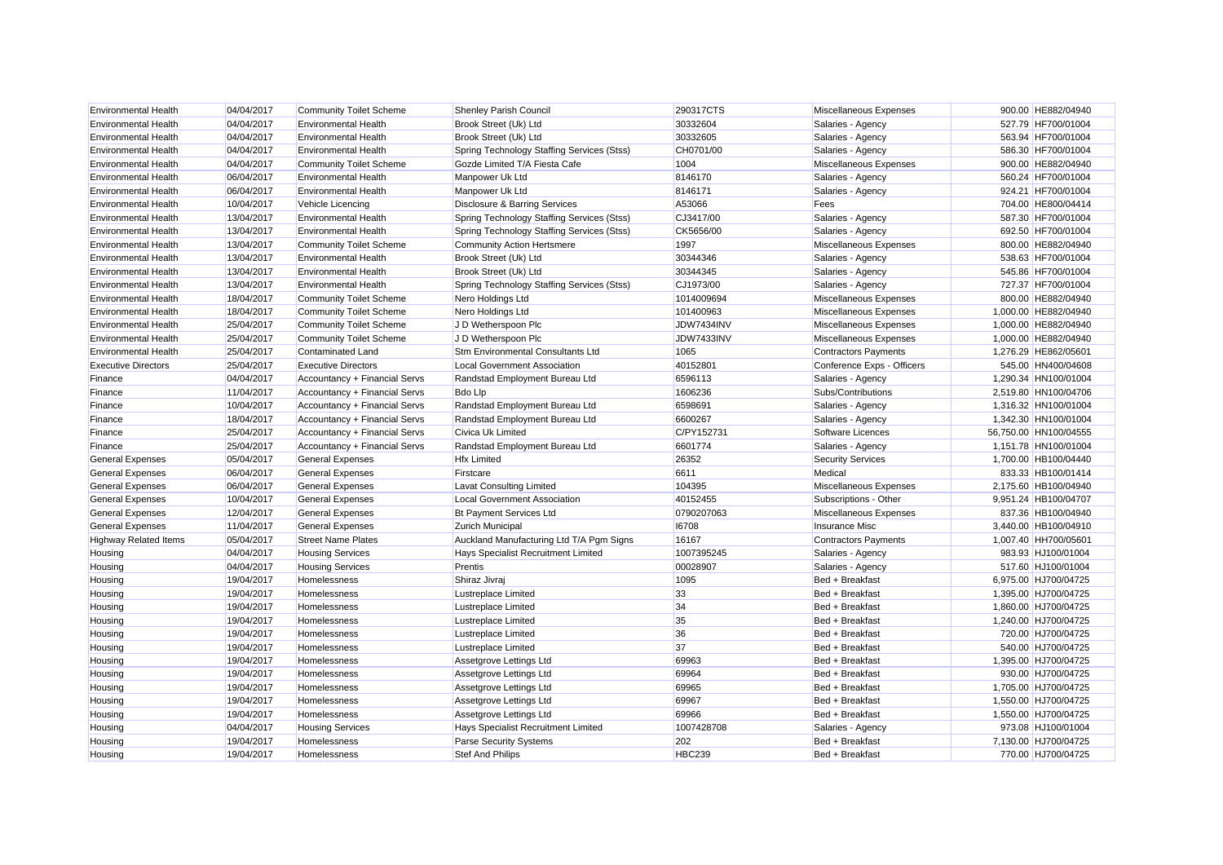| <b>Environmental Health</b>  | 04/04/2017 | <b>Community Toilet Scheme</b> | Shenley Parish Council                     | 290317CTS     | Miscellaneous Expenses      | 900.00 HE882/04940    |
|------------------------------|------------|--------------------------------|--------------------------------------------|---------------|-----------------------------|-----------------------|
| <b>Environmental Health</b>  | 04/04/2017 | <b>Environmental Health</b>    | Brook Street (Uk) Ltd                      | 30332604      | Salaries - Agency           | 527.79 HF700/01004    |
| <b>Environmental Health</b>  | 04/04/2017 | <b>Environmental Health</b>    | Brook Street (Uk) Ltd                      | 30332605      | Salaries - Agency           | 563.94 HF700/01004    |
| <b>Environmental Health</b>  | 04/04/2017 | <b>Environmental Health</b>    | Spring Technology Staffing Services (Stss) | CH0701/00     | Salaries - Agency           | 586.30 HF700/01004    |
| <b>Environmental Health</b>  | 04/04/2017 | <b>Community Toilet Scheme</b> | Gozde Limited T/A Fiesta Cafe              | 1004          | Miscellaneous Expenses      | 900.00 HE882/04940    |
| <b>Environmental Health</b>  | 06/04/2017 | <b>Environmental Health</b>    | Manpower Uk Ltd                            | 8146170       | Salaries - Agency           | 560.24 HF700/01004    |
| <b>Environmental Health</b>  | 06/04/2017 | <b>Environmental Health</b>    | Manpower Uk Ltd                            | 8146171       | Salaries - Agency           | 924.21 HF700/01004    |
| <b>Environmental Health</b>  | 10/04/2017 | Vehicle Licencing              | Disclosure & Barring Services              | A53066        | Fees                        | 704.00 HE800/04414    |
| <b>Environmental Health</b>  | 13/04/2017 | <b>Environmental Health</b>    | Spring Technology Staffing Services (Stss) | CJ3417/00     | Salaries - Agency           | 587.30 HF700/01004    |
| <b>Environmental Health</b>  | 13/04/2017 | <b>Environmental Health</b>    | Spring Technology Staffing Services (Stss) | CK5656/00     | Salaries - Agency           | 692.50 HF700/01004    |
| <b>Environmental Health</b>  | 13/04/2017 | <b>Community Toilet Scheme</b> | <b>Community Action Hertsmere</b>          | 1997          | Miscellaneous Expenses      | 800.00 HE882/04940    |
| <b>Environmental Health</b>  | 13/04/2017 | <b>Environmental Health</b>    | Brook Street (Uk) Ltd                      | 30344346      | Salaries - Agency           | 538.63 HF700/01004    |
| <b>Environmental Health</b>  | 13/04/2017 | <b>Environmental Health</b>    | Brook Street (Uk) Ltd                      | 30344345      | Salaries - Agency           | 545.86 HF700/01004    |
| <b>Environmental Health</b>  | 13/04/2017 | <b>Environmental Health</b>    | Spring Technology Staffing Services (Stss) | CJ1973/00     | Salaries - Agency           | 727.37 HF700/01004    |
| <b>Environmental Health</b>  | 18/04/2017 | <b>Community Toilet Scheme</b> | Nero Holdings Ltd                          | 1014009694    | Miscellaneous Expenses      | 800.00 HE882/04940    |
| <b>Environmental Health</b>  | 18/04/2017 | <b>Community Toilet Scheme</b> | Nero Holdings Ltd                          | 101400963     | Miscellaneous Expenses      | 1,000.00 HE882/04940  |
| <b>Environmental Health</b>  | 25/04/2017 | <b>Community Toilet Scheme</b> | J D Wetherspoon Plc                        | JDW7434INV    | Miscellaneous Expenses      | 1,000.00 HE882/04940  |
| <b>Environmental Health</b>  | 25/04/2017 | <b>Community Toilet Scheme</b> | J D Wetherspoon Plc                        | JDW7433INV    | Miscellaneous Expenses      | 1,000.00 HE882/04940  |
| <b>Environmental Health</b>  | 25/04/2017 | <b>Contaminated Land</b>       | Stm Environmental Consultants Ltd          | 1065          | <b>Contractors Payments</b> | 1,276.29 HE862/05601  |
| <b>Executive Directors</b>   | 25/04/2017 | <b>Executive Directors</b>     | Local Government Association               | 40152801      | Conference Exps - Officers  | 545.00 HN400/04608    |
| Finance                      | 04/04/2017 | Accountancy + Financial Servs  | Randstad Employment Bureau Ltd             | 6596113       | Salaries - Agency           | 1,290.34 HN100/01004  |
| Finance                      | 11/04/2017 | Accountancy + Financial Servs  | <b>Bdo Lip</b>                             | 1606236       | Subs/Contributions          | 2,519.80 HN100/04706  |
| Finance                      | 10/04/2017 | Accountancy + Financial Servs  | Randstad Employment Bureau Ltd             | 6598691       | Salaries - Agency           | 1,316.32 HN100/01004  |
| Finance                      | 18/04/2017 | Accountancy + Financial Servs  | Randstad Employment Bureau Ltd             | 6600267       | Salaries - Agency           | 1,342.30 HN100/01004  |
| Finance                      | 25/04/2017 | Accountancy + Financial Servs  | Civica Uk Limited                          | C/PY152731    | Software Licences           | 56,750.00 HN100/04555 |
| Finance                      | 25/04/2017 | Accountancy + Financial Servs  | Randstad Employment Bureau Ltd             | 6601774       | Salaries - Agency           | 1,151.78 HN100/01004  |
| <b>General Expenses</b>      | 05/04/2017 | <b>General Expenses</b>        | <b>Hfx Limited</b>                         | 26352         | <b>Security Services</b>    | 1,700.00 HB100/04440  |
| <b>General Expenses</b>      | 06/04/2017 | <b>General Expenses</b>        | Firstcare                                  | 6611          | Medical                     | 833.33 HB100/01414    |
| <b>General Expenses</b>      | 06/04/2017 | <b>General Expenses</b>        | <b>Lavat Consulting Limited</b>            | 104395        | Miscellaneous Expenses      | 2,175.60 HB100/04940  |
| <b>General Expenses</b>      | 10/04/2017 | <b>General Expenses</b>        | <b>Local Government Association</b>        | 40152455      | Subscriptions - Other       | 9,951.24 HB100/04707  |
| <b>General Expenses</b>      | 12/04/2017 | <b>General Expenses</b>        | <b>Bt Payment Services Ltd</b>             | 0790207063    | Miscellaneous Expenses      | 837.36 HB100/04940    |
| <b>General Expenses</b>      | 11/04/2017 | <b>General Expenses</b>        | <b>Zurich Municipal</b>                    | 16708         | Insurance Misc              | 3,440.00 HB100/04910  |
| <b>Highway Related Items</b> | 05/04/2017 | <b>Street Name Plates</b>      | Auckland Manufacturing Ltd T/A Pgm Signs   | 16167         | <b>Contractors Payments</b> | 1,007.40 HH700/05601  |
| Housing                      | 04/04/2017 | <b>Housing Services</b>        | Hays Specialist Recruitment Limited        | 1007395245    | Salaries - Agency           | 983.93 HJ100/01004    |
| Housing                      | 04/04/2017 | <b>Housing Services</b>        | Prentis                                    | 00028907      | Salaries - Agency           | 517.60 HJ100/01004    |
| Housing                      | 19/04/2017 | Homelessness                   | Shiraz Jivraj                              | 1095          | Bed + Breakfast             | 6,975.00 HJ700/04725  |
| Housing                      | 19/04/2017 | Homelessness                   | Lustreplace Limited                        | 33            | Bed + Breakfast             | 1,395.00 HJ700/04725  |
| Housing                      | 19/04/2017 | Homelessness                   | <b>Lustreplace Limited</b>                 | 34            | Bed + Breakfast             | 1,860.00 HJ700/04725  |
| Housing                      | 19/04/2017 | Homelessness                   | <b>Lustreplace Limited</b>                 | 35            | Bed + Breakfast             | 1,240.00 HJ700/04725  |
| Housing                      | 19/04/2017 | Homelessness                   | Lustreplace Limited                        | 36            | Bed + Breakfast             | 720.00 HJ700/04725    |
| Housing                      | 19/04/2017 | Homelessness                   | Lustreplace Limited                        | 37            | Bed + Breakfast             | 540.00 HJ700/04725    |
| Housing                      | 19/04/2017 | Homelessness                   | Assetgrove Lettings Ltd                    | 69963         | Bed + Breakfast             | 1,395.00 HJ700/04725  |
| Housing                      | 19/04/2017 | Homelessness                   | Assetgrove Lettings Ltd                    | 69964         | Bed + Breakfast             | 930.00 HJ700/04725    |
| Housing                      | 19/04/2017 | Homelessness                   | Assetgrove Lettings Ltd                    | 69965         | Bed + Breakfast             | 1,705.00 HJ700/04725  |
| Housing                      | 19/04/2017 | Homelessness                   | Assetgrove Lettings Ltd                    | 69967         | Bed + Breakfast             | 1,550.00 HJ700/04725  |
| Housing                      | 19/04/2017 | Homelessness                   | Assetgrove Lettings Ltd                    | 69966         | Bed + Breakfast             | 1,550.00 HJ700/04725  |
| Housing                      | 04/04/2017 | <b>Housing Services</b>        | Hays Specialist Recruitment Limited        | 1007428708    | Salaries - Agency           | 973.08 HJ100/01004    |
| Housing                      | 19/04/2017 | <b>Homelessness</b>            | Parse Security Systems                     | 202           | Bed + Breakfast             | 7,130.00 HJ700/04725  |
| Housing                      | 19/04/2017 | <b>Homelessness</b>            | <b>Stef And Philips</b>                    | <b>HBC239</b> | Bed + Breakfast             | 770.00 HJ700/04725    |
|                              |            |                                |                                            |               |                             |                       |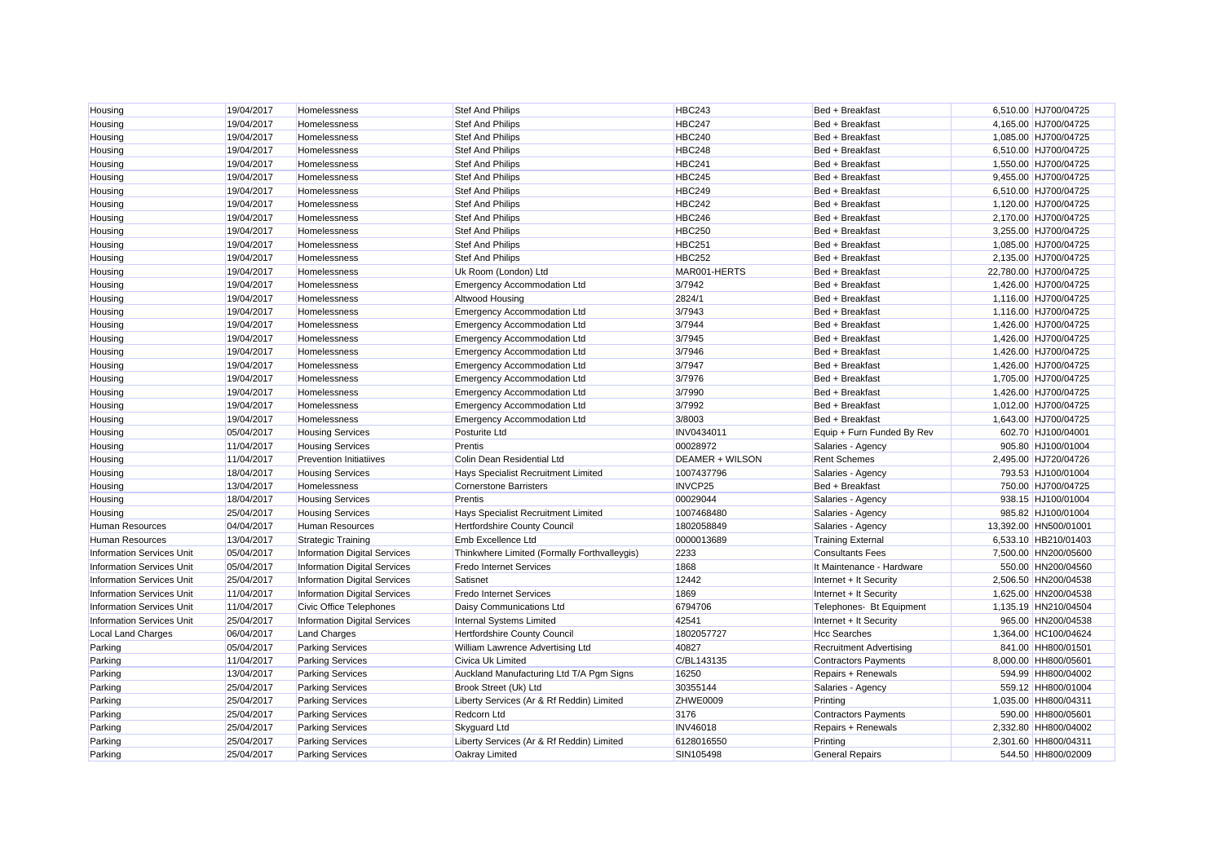| Housing                          | 19/04/2017 | Homelessness                        | Stef And Philips                             | <b>HBC243</b>          | Bed + Breakfast                | 6,510.00 HJ700/04725  |
|----------------------------------|------------|-------------------------------------|----------------------------------------------|------------------------|--------------------------------|-----------------------|
| Housing                          | 19/04/2017 | Homelessness                        | Stef And Philips                             | <b>HBC247</b>          | Bed + Breakfast                | 4,165.00 HJ700/04725  |
| Housing                          | 19/04/2017 | Homelessness                        | <b>Stef And Philips</b>                      | <b>HBC240</b>          | Bed + Breakfast                | 1,085.00 HJ700/04725  |
| Housing                          | 19/04/2017 | Homelessness                        | <b>Stef And Philips</b>                      | <b>HBC248</b>          | Bed + Breakfast                | 6,510.00 HJ700/04725  |
| Housing                          | 19/04/2017 | Homelessness                        | <b>Stef And Philips</b>                      | <b>HBC241</b>          | Bed + Breakfast                | 1,550.00 HJ700/04725  |
| Housing                          | 19/04/2017 | Homelessness                        | Stef And Philips                             | <b>HBC245</b>          | Bed + Breakfast                | 9,455.00 HJ700/04725  |
| Housing                          | 19/04/2017 | Homelessness                        | <b>Stef And Philips</b>                      | <b>HBC249</b>          | Bed + Breakfast                | 6,510.00 HJ700/04725  |
| Housing                          | 19/04/2017 | Homelessness                        | Stef And Philips                             | <b>HBC242</b>          | Bed + Breakfast                | 1,120.00 HJ700/04725  |
| Housing                          | 19/04/2017 | Homelessness                        | <b>Stef And Philips</b>                      | <b>HBC246</b>          | Bed + Breakfast                | 2,170.00 HJ700/04725  |
| Housing                          | 19/04/2017 | Homelessness                        | Stef And Philips                             | <b>HBC250</b>          | Bed + Breakfast                | 3,255.00 HJ700/04725  |
| Housing                          | 19/04/2017 | Homelessness                        | <b>Stef And Philips</b>                      | <b>HBC251</b>          | Bed + Breakfast                | 1,085.00 HJ700/04725  |
| Housing                          | 19/04/2017 | Homelessness                        | Stef And Philips                             | <b>HBC252</b>          | Bed + Breakfast                | 2,135.00 HJ700/04725  |
| Housing                          | 19/04/2017 | Homelessness                        | Uk Room (London) Ltd                         | MAR001-HERTS           | Bed + Breakfast                | 22,780.00 HJ700/04725 |
| Housing                          | 19/04/2017 | Homelessness                        | <b>Emergency Accommodation Ltd</b>           | 3/7942                 | Bed + Breakfast                | 1,426.00 HJ700/04725  |
| Housing                          | 19/04/2017 | Homelessness                        | Altwood Housing                              | 2824/1                 | Bed + Breakfast                | 1,116.00 HJ700/04725  |
| Housing                          | 19/04/2017 | Homelessness                        | <b>Emergency Accommodation Ltd</b>           | 3/7943                 | Bed + Breakfast                | 1.116.00 HJ700/04725  |
| Housing                          | 19/04/2017 | Homelessness                        | <b>Emergency Accommodation Ltd</b>           | 3/7944                 | Bed + Breakfast                | 1,426.00 HJ700/04725  |
| Housing                          | 19/04/2017 | Homelessness                        | <b>Emergency Accommodation Ltd</b>           | 3/7945                 | Bed + Breakfast                | 1,426.00 HJ700/04725  |
| Housing                          | 19/04/2017 | Homelessness                        | <b>Emergency Accommodation Ltd</b>           | 3/7946                 | Bed + Breakfast                | 1,426.00 HJ700/04725  |
| Housing                          | 19/04/2017 | Homelessness                        | <b>Emergency Accommodation Ltd</b>           | 3/7947                 | Bed + Breakfast                | 1,426.00 HJ700/04725  |
| Housing                          | 19/04/2017 | Homelessness                        | Emergency Accommodation Ltd                  | 3/7976                 | Bed + Breakfast                | 1,705.00 HJ700/04725  |
| Housing                          | 19/04/2017 | Homelessness                        | <b>Emergency Accommodation Ltd</b>           | 3/7990                 | Bed + Breakfast                | 1,426.00 HJ700/04725  |
| Housing                          | 19/04/2017 | Homelessness                        | <b>Emergency Accommodation Ltd</b>           | 3/7992                 | Bed + Breakfast                | 1,012.00 HJ700/04725  |
| Housing                          | 19/04/2017 | <b>Homelessness</b>                 | <b>Emergency Accommodation Ltd</b>           | 3/8003                 | Bed + Breakfast                | 1,643.00 HJ700/04725  |
| Housing                          | 05/04/2017 | <b>Housing Services</b>             | Posturite Ltd                                | INV0434011             | Equip + Furn Funded By Rev     | 602.70 HJ100/04001    |
| Housing                          | 11/04/2017 | <b>Housing Services</b>             | Prentis                                      | 00028972               | Salaries - Agency              | 905.80 HJ100/01004    |
| Housing                          | 11/04/2017 | <b>Prevention Initiatiives</b>      | Colin Dean Residential Ltd                   | <b>DEAMER + WILSON</b> | <b>Rent Schemes</b>            | 2,495.00 HJ720/04726  |
| Housing                          | 18/04/2017 | <b>Housing Services</b>             | Hays Specialist Recruitment Limited          | 1007437796             | Salaries - Agency              | 793.53 HJ100/01004    |
| Housing                          | 13/04/2017 | Homelessness                        | <b>Cornerstone Barristers</b>                | INVCP25                | Bed + Breakfast                | 750.00 HJ700/04725    |
| Housing                          | 18/04/2017 | <b>Housing Services</b>             | Prentis                                      | 00029044               | Salaries - Agency              | 938.15 HJ100/01004    |
| Housing                          | 25/04/2017 | <b>Housing Services</b>             | Hays Specialist Recruitment Limited          | 1007468480             | Salaries - Agency              | 985.82 HJ100/01004    |
| <b>Human Resources</b>           | 04/04/2017 | <b>Human Resources</b>              | Hertfordshire County Council                 | 1802058849             | Salaries - Agency              | 13,392.00 HN500/01001 |
| Human Resources                  | 13/04/2017 | <b>Strategic Training</b>           | Emb Excellence Ltd                           | 0000013689             | <b>Training External</b>       | 6,533.10 HB210/01403  |
| <b>Information Services Unit</b> | 05/04/2017 | <b>Information Digital Services</b> | Thinkwhere Limited (Formally Forthvalleygis) | 2233                   | <b>Consultants Fees</b>        | 7,500.00 HN200/05600  |
| <b>Information Services Unit</b> | 05/04/2017 | <b>Information Digital Services</b> | <b>Fredo Internet Services</b>               | 1868                   | It Maintenance - Hardware      | 550.00 HN200/04560    |
| <b>Information Services Unit</b> | 25/04/2017 | <b>Information Digital Services</b> | Satisnet                                     | 12442                  | Internet + It Security         | 2.506.50 HN200/04538  |
| <b>Information Services Unit</b> | 11/04/2017 | <b>Information Digital Services</b> | <b>Fredo Internet Services</b>               | 1869                   | Internet + It Security         | 1,625.00 HN200/04538  |
| <b>Information Services Unit</b> | 11/04/2017 | Civic Office Telephones             | Daisy Communications Ltd                     | 6794706                | Telephones- Bt Equipment       | 1,135.19 HN210/04504  |
| <b>Information Services Unit</b> | 25/04/2017 | <b>Information Digital Services</b> | Internal Systems Limited                     | 42541                  | Internet + It Security         | 965.00 HN200/04538    |
| Local Land Charges               | 06/04/2017 | <b>Land Charges</b>                 | Hertfordshire County Council                 | 1802057727             | <b>Hcc Searches</b>            | 1,364.00 HC100/04624  |
| Parking                          | 05/04/2017 | <b>Parking Services</b>             | William Lawrence Advertising Ltd             | 40827                  | <b>Recruitment Advertising</b> | 841.00 HH800/01501    |
| Parking                          | 11/04/2017 | <b>Parking Services</b>             | Civica Uk Limited                            | C/BL143135             | <b>Contractors Payments</b>    | 8,000.00 HH800/05601  |
| Parking                          | 13/04/2017 | <b>Parking Services</b>             | Auckland Manufacturing Ltd T/A Pgm Signs     | 16250                  | Repairs + Renewals             | 594.99 HH800/04002    |
| Parking                          | 25/04/2017 | <b>Parking Services</b>             | Brook Street (Uk) Ltd                        | 30355144               | Salaries - Agency              | 559.12 HH800/01004    |
| Parking                          | 25/04/2017 | <b>Parking Services</b>             | Liberty Services (Ar & Rf Reddin) Limited    | ZHWE0009               | Printing                       | 1.035.00 HH800/04311  |
| Parking                          | 25/04/2017 | <b>Parking Services</b>             | Redcorn Ltd                                  | 3176                   | <b>Contractors Payments</b>    | 590.00 HH800/05601    |
| Parking                          | 25/04/2017 | <b>Parking Services</b>             | Skyquard Ltd                                 | <b>INV46018</b>        | Repairs + Renewals             | 2,332.80 HH800/04002  |
| Parking                          | 25/04/2017 | <b>Parking Services</b>             | Liberty Services (Ar & Rf Reddin) Limited    | 6128016550             | Printing                       | 2,301.60 HH800/04311  |
| Parking                          | 25/04/2017 | <b>Parking Services</b>             | Oakray Limited                               | SIN105498              | <b>General Repairs</b>         | 544.50 HH800/02009    |
|                                  |            |                                     |                                              |                        |                                |                       |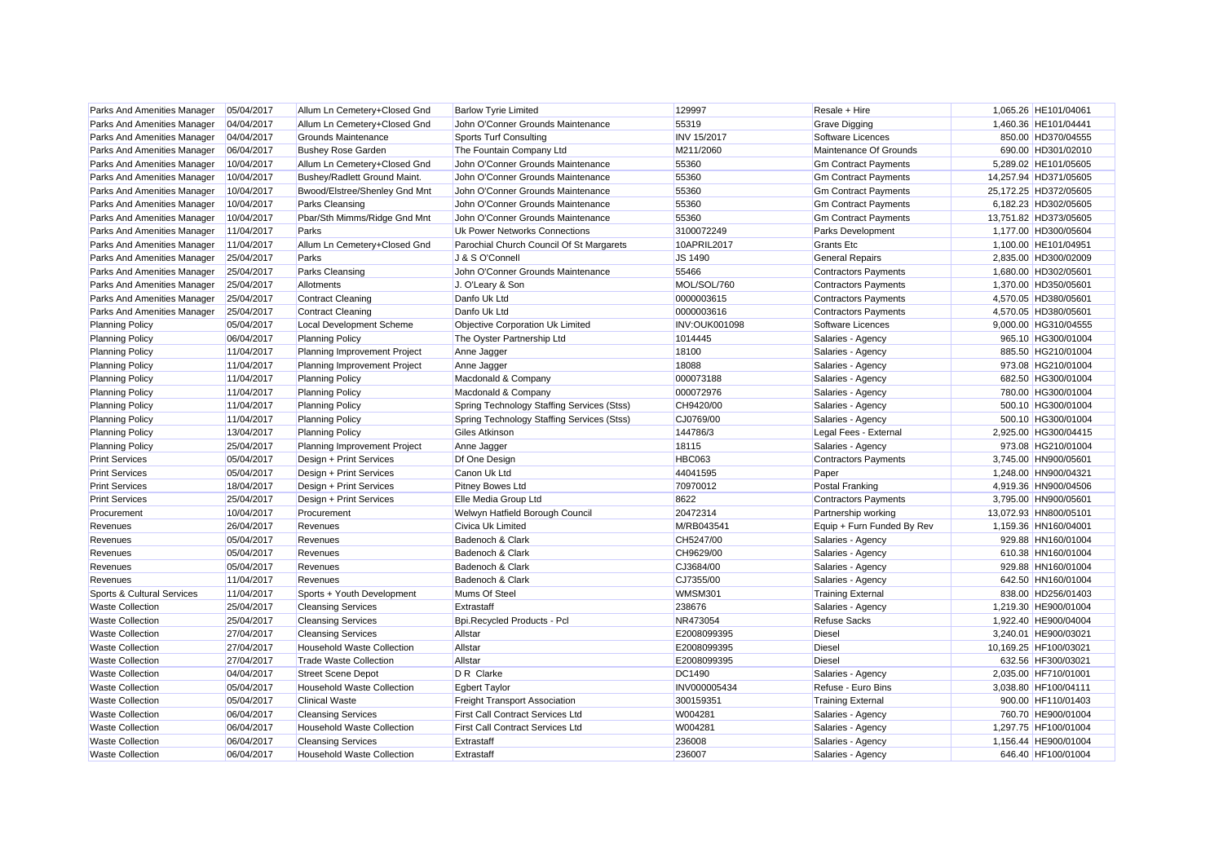| Parks And Amenities Manager | 05/04/2017 | Allum Ln Cemetery+Closed Gnd      | <b>Barlow Tyrie Limited</b>                | 129997               | Resale + Hire               | 1,065.26 HE101/04061  |  |
|-----------------------------|------------|-----------------------------------|--------------------------------------------|----------------------|-----------------------------|-----------------------|--|
| Parks And Amenities Manager | 04/04/2017 | Allum Ln Cemetery+Closed Gnd      | John O'Conner Grounds Maintenance          | 55319                | <b>Grave Digging</b>        | 1,460.36 HE101/04441  |  |
| Parks And Amenities Manager | 04/04/2017 | Grounds Maintenance               | <b>Sports Turf Consulting</b>              | <b>INV 15/2017</b>   | Software Licences           | 850.00 HD370/04555    |  |
| Parks And Amenities Manager | 06/04/2017 | <b>Bushey Rose Garden</b>         | The Fountain Company Ltd                   | M211/2060            | Maintenance Of Grounds      | 690.00 HD301/02010    |  |
| Parks And Amenities Manager | 10/04/2017 | Allum Ln Cemetery+Closed Gnd      | John O'Conner Grounds Maintenance          | 55360                | <b>Gm Contract Payments</b> | 5,289.02 HE101/05605  |  |
| Parks And Amenities Manager | 10/04/2017 | Bushey/Radlett Ground Maint.      | John O'Conner Grounds Maintenance          | 55360                | <b>Gm Contract Payments</b> | 14,257.94 HD371/05605 |  |
| Parks And Amenities Manager | 10/04/2017 | Bwood/Elstree/Shenley Gnd Mnt     | John O'Conner Grounds Maintenance          | 55360                | <b>Gm Contract Payments</b> | 25,172.25 HD372/05605 |  |
| Parks And Amenities Manager | 10/04/2017 | Parks Cleansing                   | John O'Conner Grounds Maintenance          | 55360                | <b>Gm Contract Payments</b> | 6.182.23 HD302/05605  |  |
| Parks And Amenities Manager | 10/04/2017 | Pbar/Sth Mimms/Ridge Gnd Mnt      | John O'Conner Grounds Maintenance          | 55360                | <b>Gm Contract Payments</b> | 13,751.82 HD373/05605 |  |
| Parks And Amenities Manager | 11/04/2017 | Parks                             | Uk Power Networks Connections              | 3100072249           | <b>Parks Development</b>    | 1,177.00 HD300/05604  |  |
| Parks And Amenities Manager | 11/04/2017 | Allum Ln Cemetery+Closed Gnd      | Parochial Church Council Of St Margarets   | 10APRIL2017          | <b>Grants Etc.</b>          | 1,100.00 HE101/04951  |  |
| Parks And Amenities Manager | 25/04/2017 | Parks                             | J & S O'Connell                            | JS 1490              | <b>General Repairs</b>      | 2,835.00 HD300/02009  |  |
| Parks And Amenities Manager | 25/04/2017 | <b>Parks Cleansing</b>            | John O'Conner Grounds Maintenance          | 55466                | <b>Contractors Payments</b> | 1,680.00 HD302/05601  |  |
| Parks And Amenities Manager | 25/04/2017 | Allotments                        | J. O'Leary & Son                           | MOL/SOL/760          | <b>Contractors Payments</b> | 1,370.00 HD350/05601  |  |
| Parks And Amenities Manager | 25/04/2017 | <b>Contract Cleaning</b>          | Danfo Uk Ltd                               | 0000003615           | <b>Contractors Payments</b> | 4,570.05 HD380/05601  |  |
| Parks And Amenities Manager | 25/04/2017 | <b>Contract Cleaning</b>          | Danfo Uk Ltd                               | 0000003616           | <b>Contractors Payments</b> | 4,570.05 HD380/05601  |  |
| <b>Planning Policy</b>      | 05/04/2017 | Local Development Scheme          | Objective Corporation Uk Limited           | <b>INV:OUK001098</b> | Software Licences           | 9,000.00 HG310/04555  |  |
| <b>Planning Policy</b>      | 06/04/2017 | <b>Planning Policy</b>            | The Oyster Partnership Ltd                 | 1014445              | Salaries - Agency           | 965.10 HG300/01004    |  |
| <b>Planning Policy</b>      | 11/04/2017 | Planning Improvement Project      | Anne Jagger                                | 18100                | Salaries - Agency           | 885.50 HG210/01004    |  |
| <b>Planning Policy</b>      | 11/04/2017 | Planning Improvement Project      | Anne Jagger                                | 18088                | Salaries - Agency           | 973.08 HG210/01004    |  |
| <b>Planning Policy</b>      | 11/04/2017 | <b>Planning Policy</b>            | Macdonald & Company                        | 000073188            | Salaries - Agency           | 682.50 HG300/01004    |  |
| <b>Planning Policy</b>      | 11/04/2017 | <b>Planning Policy</b>            | Macdonald & Company                        | 000072976            | Salaries - Agency           | 780.00 HG300/01004    |  |
| <b>Planning Policy</b>      | 11/04/2017 | <b>Planning Policy</b>            | Spring Technology Staffing Services (Stss) | CH9420/00            | Salaries - Agency           | 500.10 HG300/01004    |  |
| <b>Planning Policy</b>      | 11/04/2017 | <b>Planning Policy</b>            | Spring Technology Staffing Services (Stss) | CJ0769/00            | Salaries - Agency           | 500.10 HG300/01004    |  |
| <b>Planning Policy</b>      | 13/04/2017 | <b>Planning Policy</b>            | <b>Giles Atkinson</b>                      | 144786/3             | Legal Fees - External       | 2,925.00 HG300/04415  |  |
| <b>Planning Policy</b>      | 25/04/2017 | Planning Improvement Project      | Anne Jagger                                | 18115                | Salaries - Agency           | 973.08 HG210/01004    |  |
| <b>Print Services</b>       | 05/04/2017 | Design + Print Services           | Df One Design                              | <b>HBC063</b>        | <b>Contractors Payments</b> | 3,745.00 HN900/05601  |  |
| <b>Print Services</b>       | 05/04/2017 | Design + Print Services           | Canon Uk Ltd                               | 44041595             | Paper                       | 1.248.00 HN900/04321  |  |
| <b>Print Services</b>       | 18/04/2017 | Design + Print Services           | <b>Pitney Bowes Ltd</b>                    | 70970012             | Postal Franking             | 4,919.36 HN900/04506  |  |
| <b>Print Services</b>       | 25/04/2017 | Design + Print Services           | Elle Media Group Ltd                       | 8622                 | <b>Contractors Payments</b> | 3,795.00 HN900/05601  |  |
| Procurement                 | 10/04/2017 | Procurement                       | Welwyn Hatfield Borough Council            | 20472314             | Partnership working         | 13,072.93 HN800/05101 |  |
| Revenues                    | 26/04/2017 | Revenues                          | Civica Uk Limited                          | M/RB043541           | Equip + Furn Funded By Rev  | 1,159.36 HN160/04001  |  |
| Revenues                    | 05/04/2017 | Revenues                          | Badenoch & Clark                           | CH5247/00            | Salaries - Agency           | 929.88 HN160/01004    |  |
| Revenues                    | 05/04/2017 | Revenues                          | Badenoch & Clark                           | CH9629/00            | Salaries - Agency           | 610.38 HN160/01004    |  |
| Revenues                    | 05/04/2017 | Revenues                          | Badenoch & Clark                           | CJ3684/00            | Salaries - Agency           | 929.88 HN160/01004    |  |
| Revenues                    | 11/04/2017 | Revenues                          | Badenoch & Clark                           | CJ7355/00            | Salaries - Agency           | 642.50 HN160/01004    |  |
| Sports & Cultural Services  | 11/04/2017 | Sports + Youth Development        | Mums Of Steel                              | WMSM301              | <b>Training External</b>    | 838.00 HD256/01403    |  |
| <b>Waste Collection</b>     | 25/04/2017 | <b>Cleansing Services</b>         | Extrastaff                                 | 238676               | Salaries - Agency           | 1,219.30 HE900/01004  |  |
| <b>Waste Collection</b>     | 25/04/2017 | <b>Cleansing Services</b>         | Bpi.Recycled Products - Pcl                | NR473054             | <b>Refuse Sacks</b>         | 1,922.40 HE900/04004  |  |
| <b>Waste Collection</b>     | 27/04/2017 | <b>Cleansing Services</b>         | Allstar                                    | E2008099395          | <b>Diesel</b>               | 3,240.01 HE900/03021  |  |
| <b>Waste Collection</b>     | 27/04/2017 | <b>Household Waste Collection</b> | Allstar                                    | E2008099395          | Diesel                      | 10,169.25 HF100/03021 |  |
| <b>Waste Collection</b>     | 27/04/2017 | <b>Trade Waste Collection</b>     | Allstar                                    | E2008099395          | Diesel                      | 632.56 HF300/03021    |  |
| <b>Waste Collection</b>     | 04/04/2017 | <b>Street Scene Depot</b>         | D R Clarke                                 | DC1490               | Salaries - Agency           | 2,035.00 HF710/01001  |  |
| <b>Waste Collection</b>     | 05/04/2017 | <b>Household Waste Collection</b> | <b>Egbert Taylor</b>                       | INV000005434         | Refuse - Euro Bins          | 3,038.80 HF100/04111  |  |
| <b>Waste Collection</b>     | 05/04/2017 | <b>Clinical Waste</b>             | <b>Freight Transport Association</b>       | 30015935             | <b>Training External</b>    | 900.00 HF110/01403    |  |
| <b>Waste Collection</b>     | 06/04/2017 | <b>Cleansing Services</b>         | <b>First Call Contract Services Ltd</b>    | W004281              | Salaries - Agency           | 760.70 HE900/01004    |  |
| <b>Waste Collection</b>     | 06/04/2017 | <b>Household Waste Collection</b> | <b>First Call Contract Services Ltd</b>    | W004281              | Salaries - Agency           | 1,297.75 HF100/01004  |  |
| <b>Waste Collection</b>     | 06/04/2017 | <b>Cleansing Services</b>         | Extrastaff                                 | 236008               | Salaries - Agency           | 1.156.44 HE900/01004  |  |
| <b>Waste Collection</b>     | 06/04/2017 | <b>Household Waste Collection</b> | Extrastaff                                 | 236007               | Salaries - Agency           | 646.40 HF100/01004    |  |